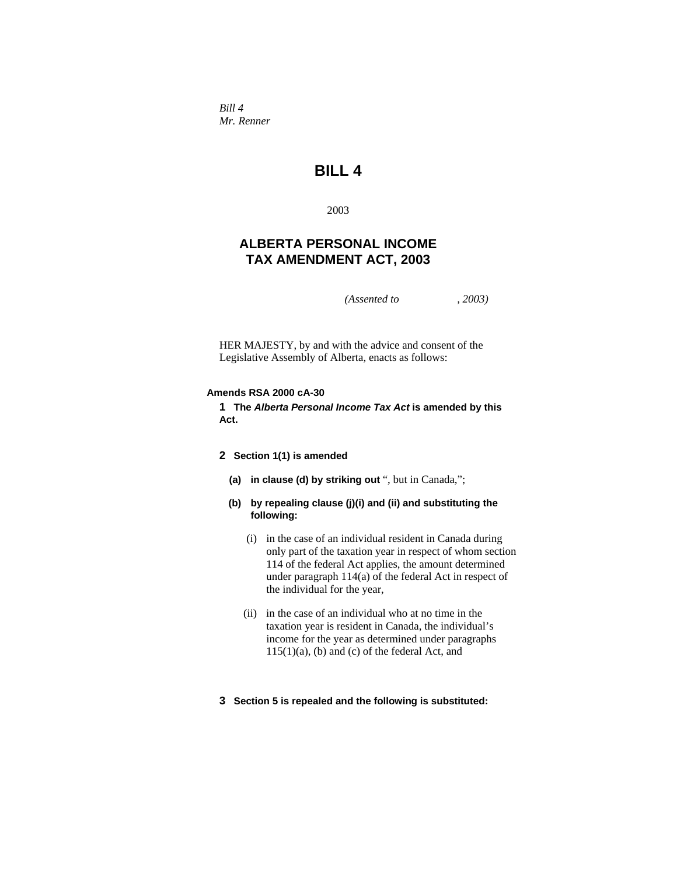*Bill 4 Mr. Renner* 

# **BILL 4**

2003

# **ALBERTA PERSONAL INCOME TAX AMENDMENT ACT, 2003**

*(Assented to , 2003)* 

HER MAJESTY, by and with the advice and consent of the Legislative Assembly of Alberta, enacts as follows:

### **Amends RSA 2000 cA-30**

**1 The** *Alberta Personal Income Tax Act* **is amended by this Act.** 

## **2 Section 1(1) is amended**

- **(a) in clause (d) by striking out** ", but in Canada,";
- **(b) by repealing clause (j)(i) and (ii) and substituting the following:**
	- (i) in the case of an individual resident in Canada during only part of the taxation year in respect of whom section 114 of the federal Act applies, the amount determined under paragraph 114(a) of the federal Act in respect of the individual for the year,
	- (ii) in the case of an individual who at no time in the taxation year is resident in Canada, the individual's income for the year as determined under paragraphs 115(1)(a), (b) and (c) of the federal Act, and

### **3 Section 5 is repealed and the following is substituted:**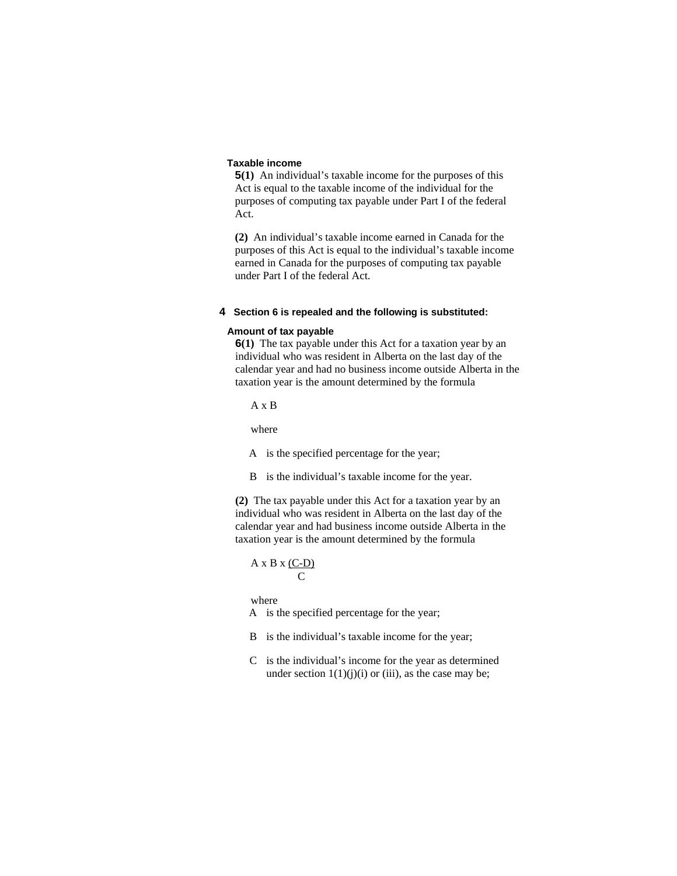### **Taxable income**

**5(1)** An individual's taxable income for the purposes of this Act is equal to the taxable income of the individual for the purposes of computing tax payable under Part I of the federal Act.

**(2)** An individual's taxable income earned in Canada for the purposes of this Act is equal to the individual's taxable income earned in Canada for the purposes of computing tax payable under Part I of the federal Act.

#### **4 Section 6 is repealed and the following is substituted:**

#### **Amount of tax payable**

**6(1)** The tax payable under this Act for a taxation year by an individual who was resident in Alberta on the last day of the calendar year and had no business income outside Alberta in the taxation year is the amount determined by the formula

A x B

where

A is the specified percentage for the year;

B is the individual's taxable income for the year.

**(2)** The tax payable under this Act for a taxation year by an individual who was resident in Alberta on the last day of the calendar year and had business income outside Alberta in the taxation year is the amount determined by the formula

### $A \times B \times (C-D)$ **C** C

where

A is the specified percentage for the year;

- B is the individual's taxable income for the year;
- C is the individual's income for the year as determined under section  $1(1)(j)(i)$  or (iii), as the case may be;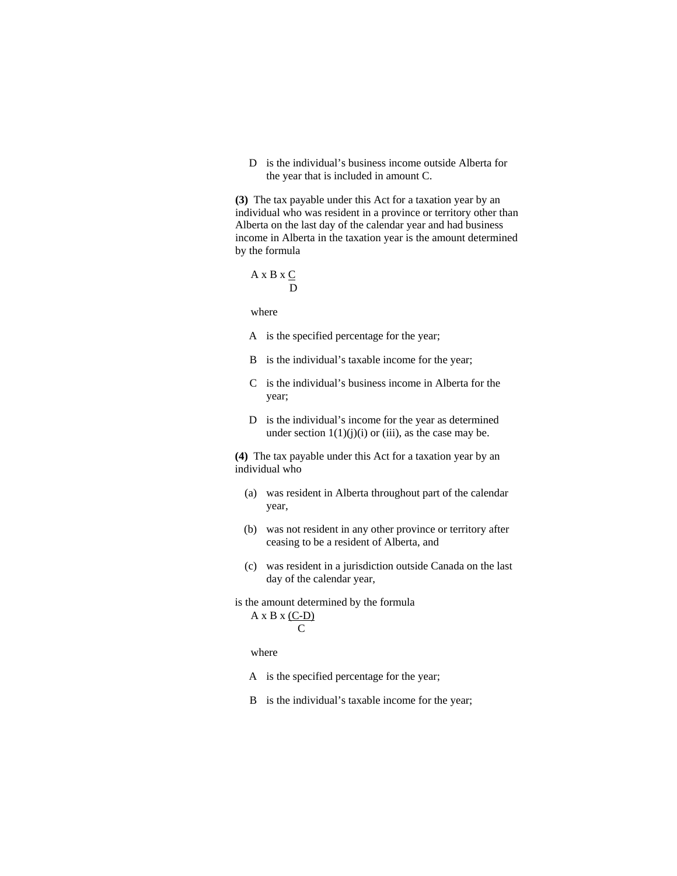D is the individual's business income outside Alberta for the year that is included in amount C.

**(3)** The tax payable under this Act for a taxation year by an individual who was resident in a province or territory other than Alberta on the last day of the calendar year and had business income in Alberta in the taxation year is the amount determined by the formula

 A x B x C D

where

- A is the specified percentage for the year;
- B is the individual's taxable income for the year;
- C is the individual's business income in Alberta for the year;
- D is the individual's income for the year as determined under section  $1(1)(j)(i)$  or (iii), as the case may be.

**(4)** The tax payable under this Act for a taxation year by an individual who

- (a) was resident in Alberta throughout part of the calendar year,
- (b) was not resident in any other province or territory after ceasing to be a resident of Alberta, and
- (c) was resident in a jurisdiction outside Canada on the last day of the calendar year,
- is the amount determined by the formula  $A \times B \times (C-D)$ **C** C

- A is the specified percentage for the year;
- B is the individual's taxable income for the year;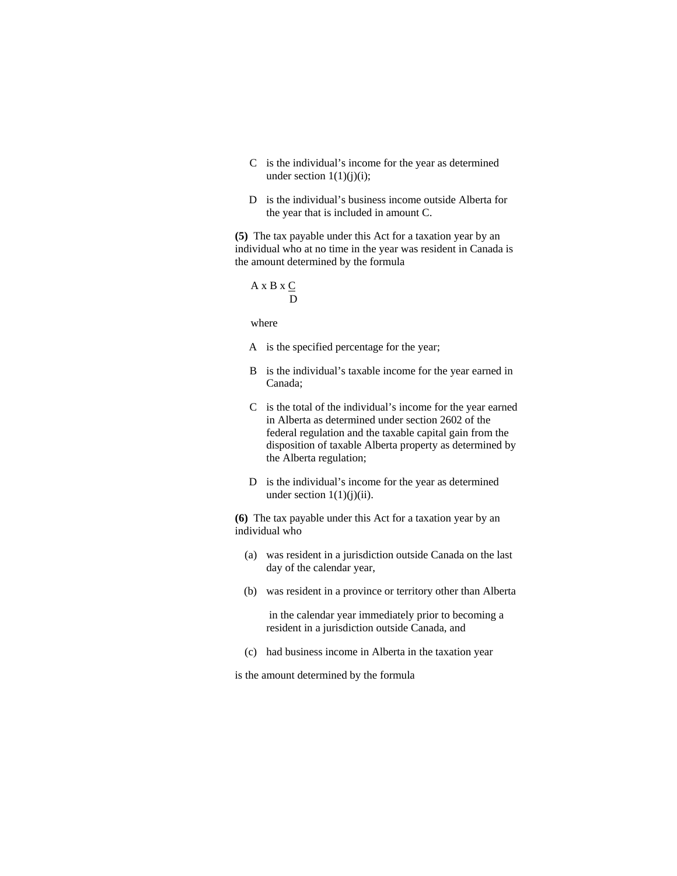- C is the individual's income for the year as determined under section  $1(1)(j)(i)$ ;
- D is the individual's business income outside Alberta for the year that is included in amount C.

**(5)** The tax payable under this Act for a taxation year by an individual who at no time in the year was resident in Canada is the amount determined by the formula

$$
A \times B \times \underline{C}
$$
  

$$
D
$$

where

- A is the specified percentage for the year;
- B is the individual's taxable income for the year earned in Canada;
- C is the total of the individual's income for the year earned in Alberta as determined under section 2602 of the federal regulation and the taxable capital gain from the disposition of taxable Alberta property as determined by the Alberta regulation;
- D is the individual's income for the year as determined under section  $1(1)(j)(ii)$ .

**(6)** The tax payable under this Act for a taxation year by an individual who

- (a) was resident in a jurisdiction outside Canada on the last day of the calendar year,
- (b) was resident in a province or territory other than Alberta

 in the calendar year immediately prior to becoming a resident in a jurisdiction outside Canada, and

(c) had business income in Alberta in the taxation year

is the amount determined by the formula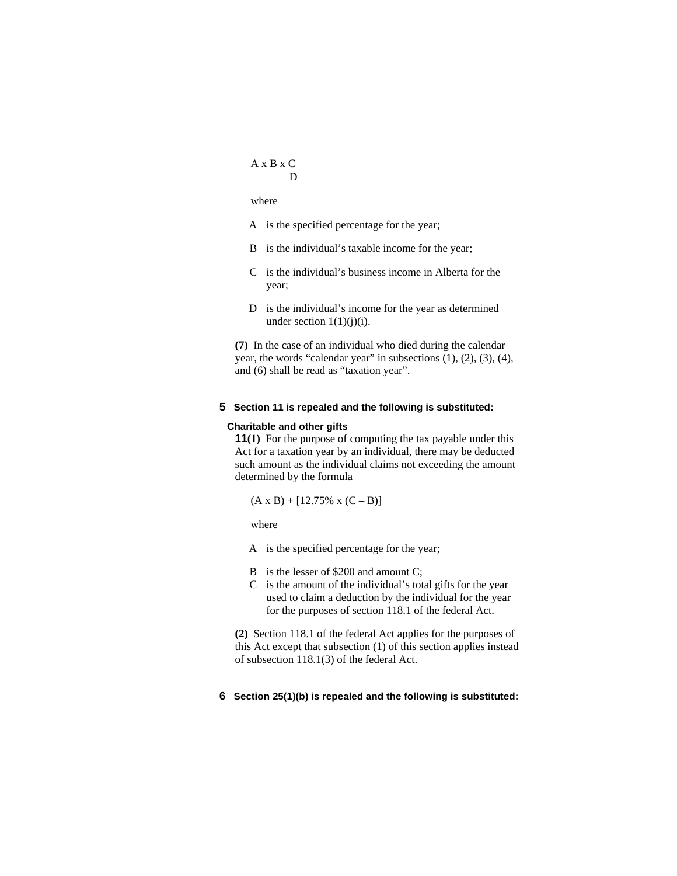### A x B x  $C$ D

### where

- A is the specified percentage for the year;
- B is the individual's taxable income for the year;
- C is the individual's business income in Alberta for the year;
- D is the individual's income for the year as determined under section  $1(1)(j)(i)$ .

**(7)** In the case of an individual who died during the calendar year, the words "calendar year" in subsections (1), (2), (3), (4), and (6) shall be read as "taxation year".

### **5 Section 11 is repealed and the following is substituted:**

#### **Charitable and other gifts**

**11(1)** For the purpose of computing the tax payable under this Act for a taxation year by an individual, there may be deducted such amount as the individual claims not exceeding the amount determined by the formula

 $(A \times B) + [12.75\% \times (C - B)]$ 

where

A is the specified percentage for the year;

- B is the lesser of \$200 and amount C;
- C is the amount of the individual's total gifts for the year used to claim a deduction by the individual for the year for the purposes of section 118.1 of the federal Act.

**(2)** Section 118.1 of the federal Act applies for the purposes of this Act except that subsection (1) of this section applies instead of subsection 118.1(3) of the federal Act.

# **6 Section 25(1)(b) is repealed and the following is substituted:**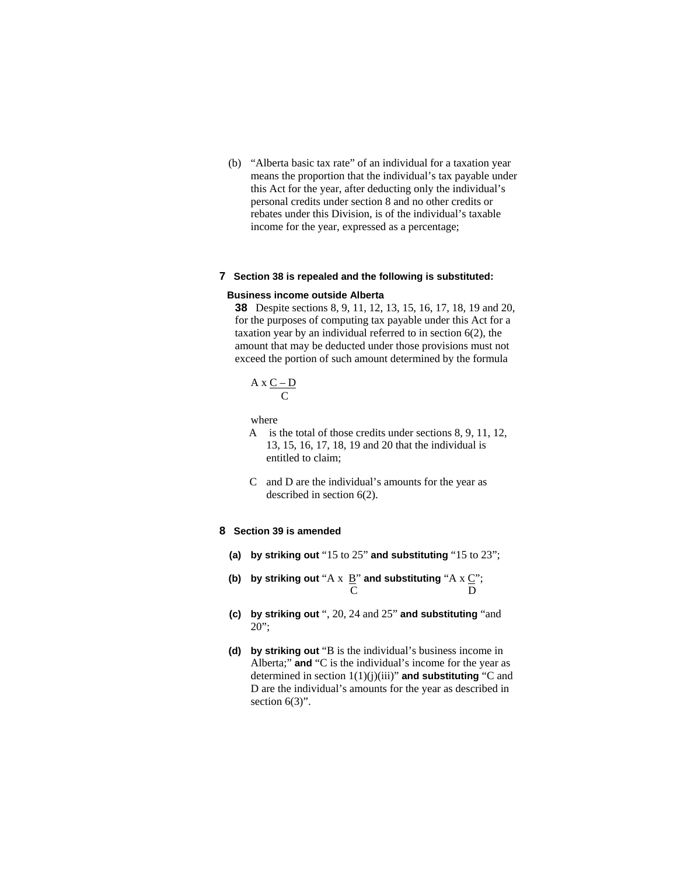(b) "Alberta basic tax rate" of an individual for a taxation year means the proportion that the individual's tax payable under this Act for the year, after deducting only the individual's personal credits under section 8 and no other credits or rebates under this Division, is of the individual's taxable income for the year, expressed as a percentage;

#### **7 Section 38 is repealed and the following is substituted:**

#### **Business income outside Alberta**

**38** Despite sections 8, 9, 11, 12, 13, 15, 16, 17, 18, 19 and 20, for the purposes of computing tax payable under this Act for a taxation year by an individual referred to in section 6(2), the amount that may be deducted under those provisions must not exceed the portion of such amount determined by the formula

$$
A \times \frac{C - D}{C}
$$

where

- A is the total of those credits under sections 8, 9, 11, 12, 13, 15, 16, 17, 18, 19 and 20 that the individual is entitled to claim;
- C and D are the individual's amounts for the year as described in section 6(2).

#### **8 Section 39 is amended**

- **(a) by striking out** "15 to 25" **and substituting** "15 to 23";
- **(b)** by striking out "A  $\overline{x}$   $\underline{B}$ " and substituting "A  $\overline{x}$   $\underline{C}$ "; C D
- **(c) by striking out** ", 20, 24 and 25" **and substituting** "and 20";
- **(d) by striking out** "B is the individual's business income in Alberta;" **and** "C is the individual's income for the year as determined in section 1(1)(j)(iii)" **and substituting** "C and D are the individual's amounts for the year as described in section  $6(3)$ ".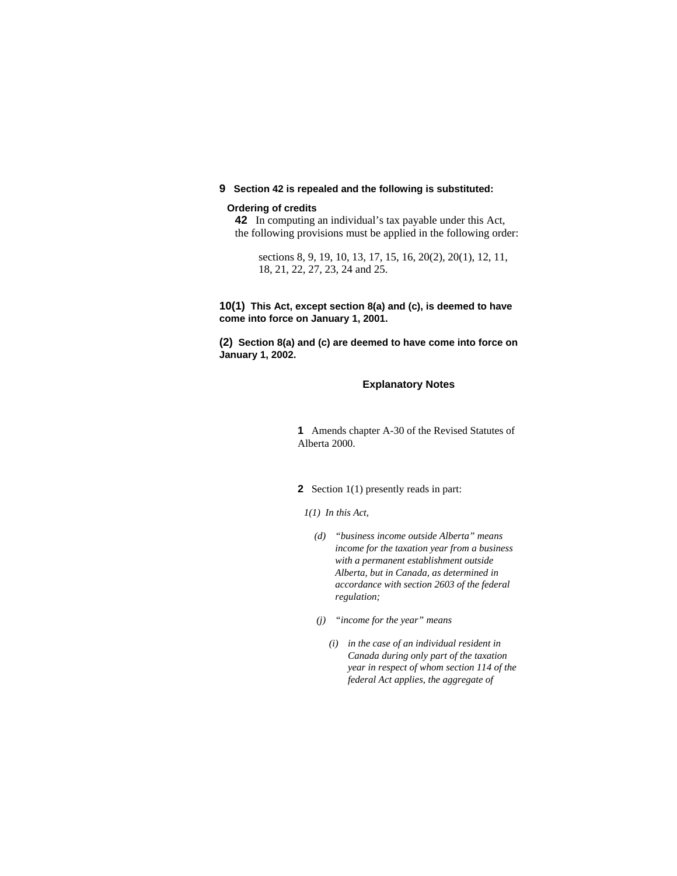### **9 Section 42 is repealed and the following is substituted:**

#### **Ordering of credits**

**42** In computing an individual's tax payable under this Act, the following provisions must be applied in the following order:

sections 8, 9, 19, 10, 13, 17, 15, 16, 20(2), 20(1), 12, 11, 18, 21, 22, 27, 23, 24 and 25.

### **10(1) This Act, except section 8(a) and (c), is deemed to have come into force on January 1, 2001.**

**(2) Section 8(a) and (c) are deemed to have come into force on January 1, 2002.** 

### **Explanatory Notes**

**1** Amends chapter A-30 of the Revised Statutes of Alberta 2000.

### **2** Section 1(1) presently reads in part:

### *1(1) In this Act,*

- *(d) "business income outside Alberta" means income for the taxation year from a business with a permanent establishment outside Alberta, but in Canada, as determined in accordance with section 2603 of the federal regulation;*
- *(j) "income for the year" means* 
	- *(i) in the case of an individual resident in Canada during only part of the taxation year in respect of whom section 114 of the federal Act applies, the aggregate of*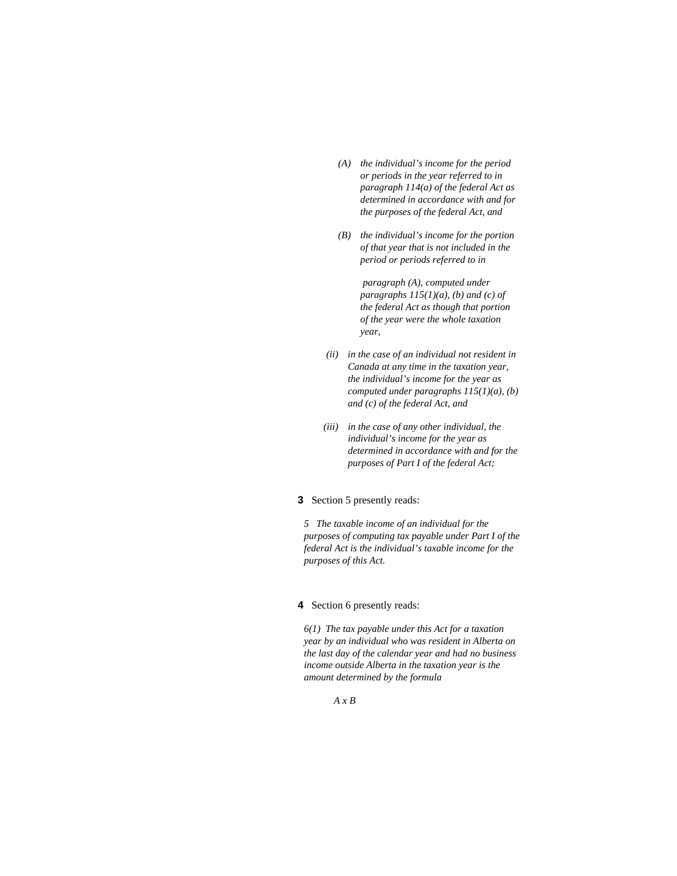- *(A) the individual's income for the period or periods in the year referred to in paragraph 114(a) of the federal Act as determined in accordance with and for the purposes of the federal Act, and*
- *(B) the individual's income for the portion of that year that is not included in the period or periods referred to in*

 *paragraph (A), computed under paragraphs 115(1)(a), (b) and (c) of the federal Act as though that portion of the year were the whole taxation year,* 

- *(ii) in the case of an individual not resident in Canada at any time in the taxation year, the individual's income for the year as computed under paragraphs 115(1)(a), (b) and (c) of the federal Act, and*
- *(iii) in the case of any other individual, the individual's income for the year as determined in accordance with and for the purposes of Part I of the federal Act;*

### **3** Section 5 presently reads:

*5 The taxable income of an individual for the purposes of computing tax payable under Part I of the federal Act is the individual's taxable income for the purposes of this Act.* 

### **4** Section 6 presently reads:

*6(1) The tax payable under this Act for a taxation year by an individual who was resident in Alberta on the last day of the calendar year and had no business income outside Alberta in the taxation year is the amount determined by the formula* 

 *A x B*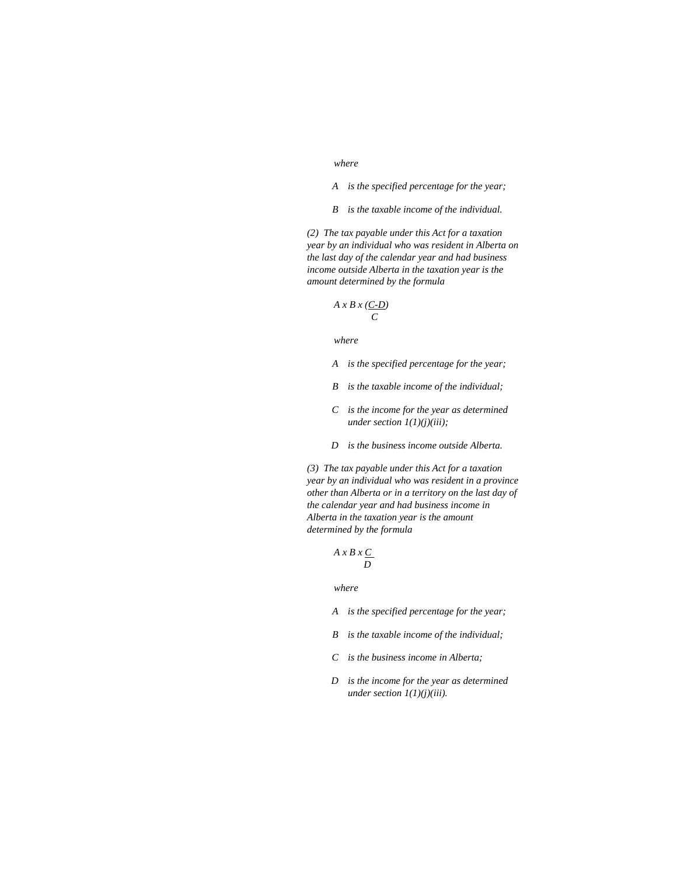#### *where*

 *A is the specified percentage for the year;* 

 *B is the taxable income of the individual.* 

*(2) The tax payable under this Act for a taxation year by an individual who was resident in Alberta on the last day of the calendar year and had business income outside Alberta in the taxation year is the amount determined by the formula* 

$$
A \times B \times \underbrace{(C \cdot D)}_{C}
$$

 *where* 

 *A is the specified percentage for the year;* 

- *B is the taxable income of the individual;*
- *C is the income for the year as determined under section 1(1)(j)(iii);*
- *D is the business income outside Alberta.*

*(3) The tax payable under this Act for a taxation year by an individual who was resident in a province other than Alberta or in a territory on the last day of the calendar year and had business income in Alberta in the taxation year is the amount determined by the formula* 

$$
A \times B \times C
$$

- *A is the specified percentage for the year;*
- *B is the taxable income of the individual;*
- *C is the business income in Alberta;*
- *D is the income for the year as determined under section 1(1)(j)(iii).*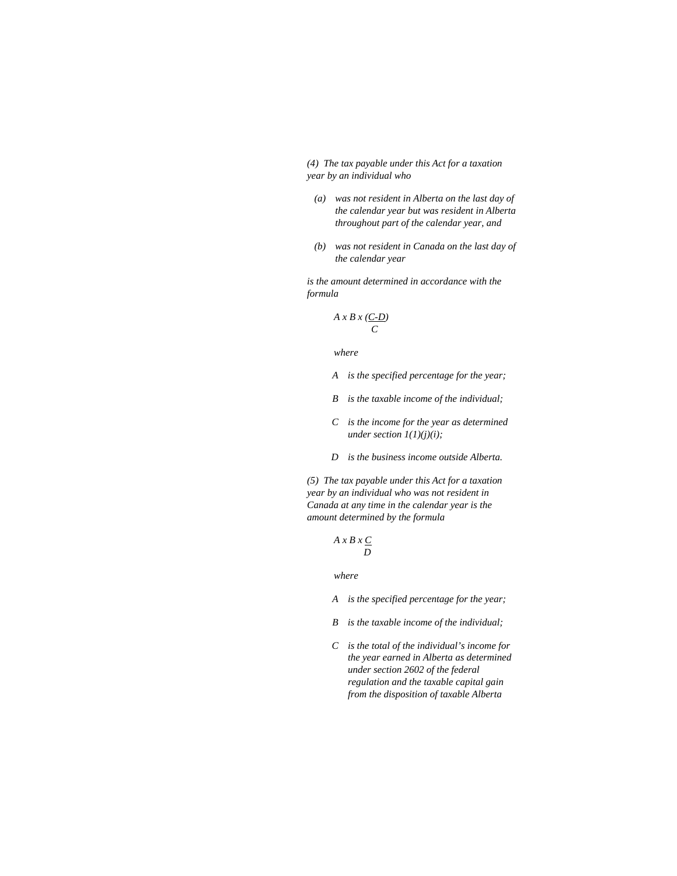*(4) The tax payable under this Act for a taxation year by an individual who* 

- *(a) was not resident in Alberta on the last day of the calendar year but was resident in Alberta throughout part of the calendar year, and*
- *(b) was not resident in Canada on the last day of the calendar year*

*is the amount determined in accordance with the formula* 

$$
A \times B \times \frac{(C-D)}{C}
$$

 *where* 

- *A is the specified percentage for the year;*
- *B is the taxable income of the individual;*
- *C is the income for the year as determined under section 1(1)(j)(i);*
- *D is the business income outside Alberta.*

*(5) The tax payable under this Act for a taxation year by an individual who was not resident in Canada at any time in the calendar year is the amount determined by the formula* 

$$
A \times B \times C
$$
  
*D*

- *A is the specified percentage for the year;*
- *B is the taxable income of the individual;*
- *C is the total of the individual's income for the year earned in Alberta as determined under section 2602 of the federal regulation and the taxable capital gain from the disposition of taxable Alberta*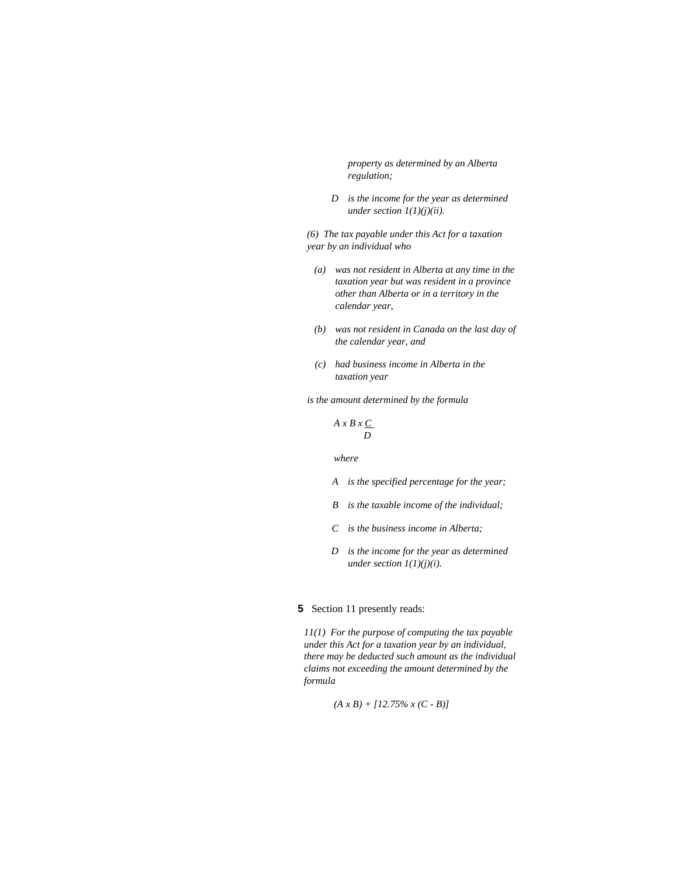*property as determined by an Alberta regulation;* 

 *D is the income for the year as determined under section 1(1)(j)(ii).* 

*(6) The tax payable under this Act for a taxation year by an individual who* 

- *(a) was not resident in Alberta at any time in the taxation year but was resident in a province other than Alberta or in a territory in the calendar year,*
- *(b) was not resident in Canada on the last day of the calendar year, and*
- *(c) had business income in Alberta in the taxation year*

*is the amount determined by the formula* 

$$
A \times B \times C
$$
  
*D*

 *where* 

- *A is the specified percentage for the year;*
- *B is the taxable income of the individual;*
- *C is the business income in Alberta;*
- *D is the income for the year as determined under section 1(1)(j)(i).*

## **5** Section 11 presently reads:

*11(1) For the purpose of computing the tax payable under this Act for a taxation year by an individual, there may be deducted such amount as the individual claims not exceeding the amount determined by the formula* 

$$
(A x B) + [12.75\% x (C - B)]
$$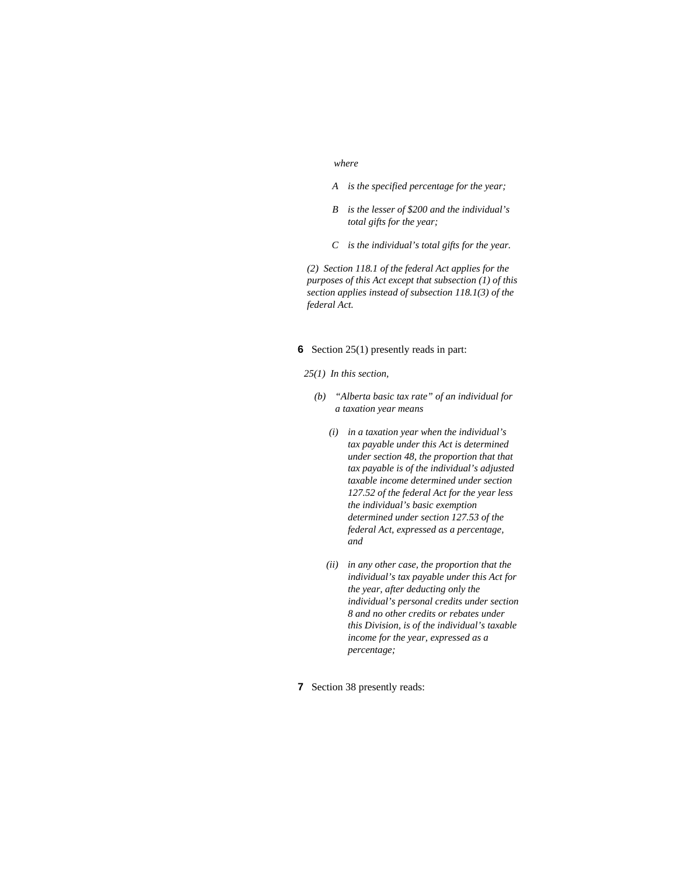#### *where*

- *A is the specified percentage for the year;*
- *B is the lesser of \$200 and the individual's total gifts for the year;*
- *C is the individual's total gifts for the year.*

*(2) Section 118.1 of the federal Act applies for the purposes of this Act except that subsection (1) of this section applies instead of subsection 118.1(3) of the federal Act.* 

#### **6** Section 25(1) presently reads in part:

- *25(1) In this section,* 
	- *(b) "Alberta basic tax rate" of an individual for a taxation year means* 
		- *(i) in a taxation year when the individual's tax payable under this Act is determined under section 48, the proportion that that tax payable is of the individual's adjusted taxable income determined under section 127.52 of the federal Act for the year less the individual's basic exemption determined under section 127.53 of the federal Act, expressed as a percentage, and*
		- *(ii) in any other case, the proportion that the individual's tax payable under this Act for the year, after deducting only the individual's personal credits under section 8 and no other credits or rebates under this Division, is of the individual's taxable income for the year, expressed as a percentage;*
- **7** Section 38 presently reads: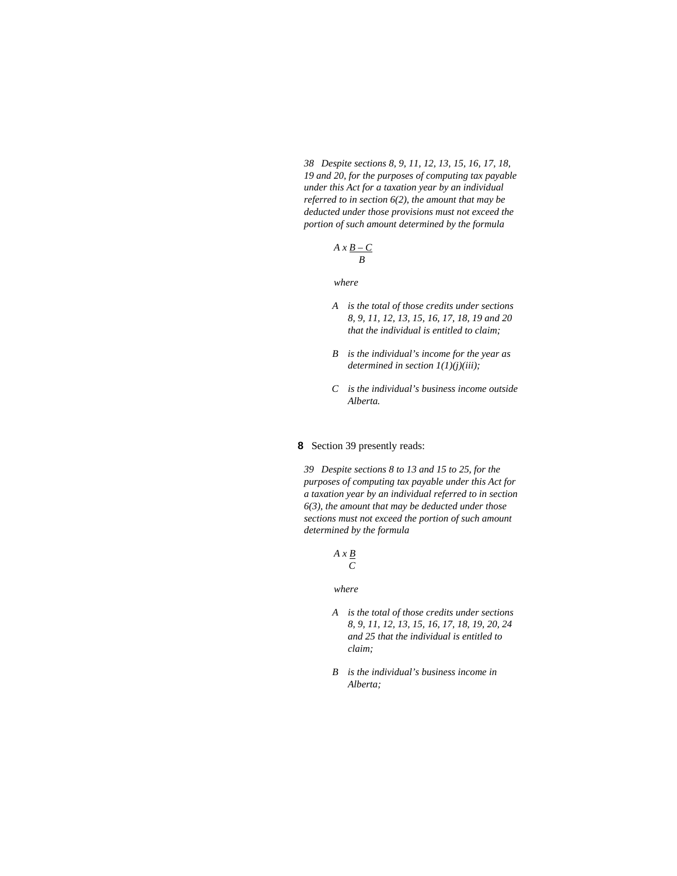*38 Despite sections 8, 9, 11, 12, 13, 15, 16, 17, 18, 19 and 20, for the purposes of computing tax payable under this Act for a taxation year by an individual referred to in section 6(2), the amount that may be deducted under those provisions must not exceed the portion of such amount determined by the formula* 

$$
A \times \underline{B-C} \over B
$$

 *where* 

- *A is the total of those credits under sections 8, 9, 11, 12, 13, 15, 16, 17, 18, 19 and 20 that the individual is entitled to claim;*
- *B is the individual's income for the year as determined in section 1(1)(j)(iii);*
- *C is the individual's business income outside Alberta.*

### **8** Section 39 presently reads:

*39 Despite sections 8 to 13 and 15 to 25, for the purposes of computing tax payable under this Act for a taxation year by an individual referred to in section 6(3), the amount that may be deducted under those sections must not exceed the portion of such amount determined by the formula* 

$$
A \times \frac{B}{C}
$$

- *A is the total of those credits under sections 8, 9, 11, 12, 13, 15, 16, 17, 18, 19, 20, 24 and 25 that the individual is entitled to claim;*
- *B is the individual's business income in Alberta;*